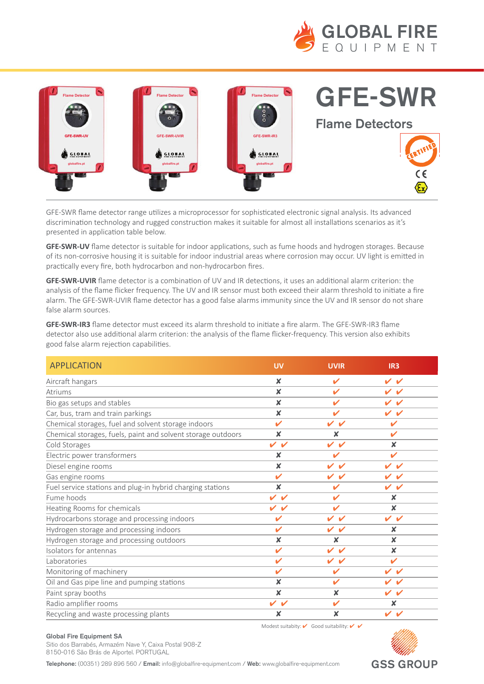



discrimination technology and rugged construction makes it suitable for almost all installations scenarios as it's **GFE-SWR** presented in application table below. GFE-SWR flame detector range utilizes a microprocessor for sophisticated electronic signal analysis. Its advanced

of its non-corrosive nousing it is suitable for indoor muustifal areas where corrosion may occur. Oving<br>practically every fire, both hydrocarbon and non-hydrocarbon fires. **GFE-SWR-UV** flame detector is suitable for indoor applications, such as fume hoods and hydrogen storages. Because of its non-corrosive housing it is suitable for indoor industrial areas where corrosion may occur. UV light is emitted in

**discrimination**<br>**GEE SWP UVIP** flame detector is a combination of UV and IP detections it uses an additional alarm c analysis of the flame flicker frequency. The UV and IR sensor must both exceed their alarm threshold to initiate a fire anarysis of the name meker rrequency. The overland in sensor must both exected their did in threshold<br>alarm. The GFE-SWR-UVIR flame detector has a good false alarms immunity since the UV and IR senso **GFE-SWR-UVIR** flame detector is a combination of UV and IR detections, it uses an additional alarm criterion: the alarm. The GFE-SWR-UVIR flame detector has a good false alarms immunity since the UV and IR sensor do not share<br>Salam bi  $H$ distalli sources. false alarm sources.

GFE-SWR-IR3 flame detector must exceed its alarm threshold to initiate a fire alarm. The GFE-SWR-IR3 flame detector also use additional alarm criterion: the analysis of the flame flicker-frequency. This version also exhibits good false alarm rejection capabilities. The UV and IR sensor do not share the UV and IR sensor do not share t

| <b>APPLICATION</b>                                           | <b>UV</b>                                  | <b>UVIR</b>                                | IR <sub>3</sub>                            |
|--------------------------------------------------------------|--------------------------------------------|--------------------------------------------|--------------------------------------------|
| Aircraft hangars                                             | ×                                          | ✓                                          | VV                                         |
| Atriums                                                      | X                                          | ✔                                          | V V                                        |
| Bio gas setups and stables                                   | X                                          | ✔                                          | VV                                         |
| Car, bus, tram and train parkings                            | X                                          | $\overline{\mathscr{L}}$                   | VV                                         |
| Chemical storages, fuel and solvent storage indoors          | $\mathbf{v}$                               | $\mathbf{v}$<br>$\boldsymbol{\mathcal{U}}$ | $\mathbf{v}$                               |
| Chemical storages, fuels, paint and solvent storage outdoors | ×                                          | X                                          | ✔                                          |
| Cold Storages                                                | $\checkmark$<br>$\overline{\mathscr{L}}$   | $\mathbf{v}$<br>$\overline{\mathcal{L}}$   | ×                                          |
| Electric power transformers                                  | ×                                          | ✔                                          | $\boldsymbol{\nu}$                         |
| Diesel engine rooms                                          | X                                          | $\mathbf{v}$<br>$\boldsymbol{\mathcal{L}}$ | ✓                                          |
| Gas engine rooms                                             | ✔                                          | ✔<br>$\boldsymbol{\nu}$                    | ✔<br>✔                                     |
| Fuel service stations and plug-in hybrid charging stations   | ×                                          |                                            | ✔<br>✔                                     |
| Fume hoods                                                   | $\mathbf{v}$<br>$\boldsymbol{\mathcal{L}}$ | ✔                                          | ×                                          |
| Heating Rooms for chemicals                                  | ✓<br>$\boldsymbol{\mathcal{L}}$            | ✔                                          | $\boldsymbol{\mathsf{x}}$                  |
| Hydrocarbons storage and processing indoors                  | ✔                                          | VV                                         | VV                                         |
| Hydrogen storage and processing indoors                      | ✔                                          | V V                                        | ×                                          |
| Hydrogen storage and processing outdoors                     | ×                                          | x                                          | X                                          |
| Isolators for antennas                                       | $\overline{\mathscr{L}}$                   | $\mathbf{v}$<br>$\mathbf{v}$               | X                                          |
| Laboratories                                                 | ✓                                          | V V                                        | $\mathbf{v}$                               |
| Monitoring of machinery                                      | ✔                                          | ✔                                          | $\mathbf{v}$<br>$\boldsymbol{\mathcal{U}}$ |
| Oil and Gas pipe line and pumping stations                   | ×                                          | ✔                                          | ✓<br>$\boldsymbol{\nu}$                    |
| Paint spray booths                                           | X                                          | x                                          | ✓<br>$\boldsymbol{\nu}$                    |
| Radio amplifier rooms                                        | ✓                                          |                                            | x                                          |
| Recycling and waste processing plants                        | ×                                          | x                                          | $\mathbf{v}$<br>$\boldsymbol{\nu}$         |

Modest suitabity:  $\mathbf{\check{v}}$  Good suitability:  $\mathbf{\check{v}}$ 



#### Global Fire Equipment SA

sitio dos Barrabes, Armazem Nave Y, Caixa P<br>8150-016 São Brás de Alportel. PORTUGAL Sitio dos Barrabés, Armazém Nave Y, Caixa Postal 908-Z

Telephone: (00351) 289 896 560 / Email: info@globalfire-equipment.com / Web: www.globalfire-equipment.com